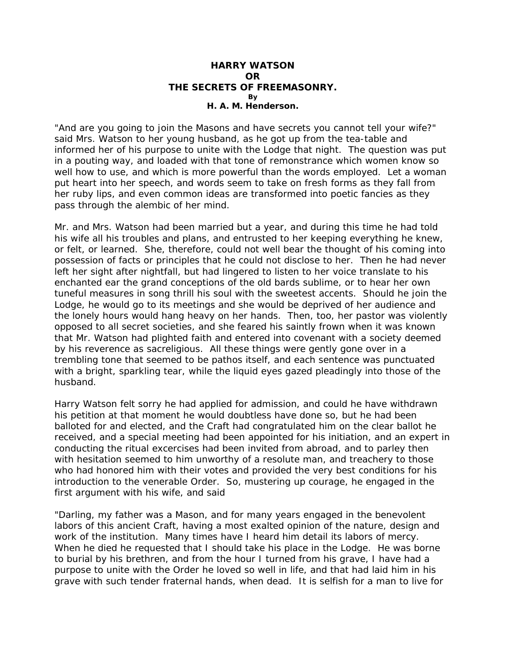## **HARRY WATSON OR THE SECRETS OF FREEMASONRY. By H. A. M. Henderson.**

"And are you going to join the Masons and have secrets you cannot tell your wife?" said Mrs. Watson to her young husband, as he got up from the tea-table and informed her of his purpose to unite with the Lodge that night. The question was put in a pouting way, and loaded with that tone of remonstrance which women know so well how to use, and which is more powerful than the words employed. Let a woman put heart into her speech, and words seem to take on fresh forms as they fall from her ruby lips, and even common ideas are transformed into poetic fancies as they pass through the alembic of her mind.

Mr. and Mrs. Watson had been married but a year, and during this time he had told his wife all his troubles and plans, and entrusted to her keeping everything he knew, or felt, or learned. She, therefore, could not well bear the thought of his coming into possession of facts or principles that he could not disclose to her. Then he had never left her sight after nightfall, but had lingered to listen to her voice translate to his enchanted ear the grand conceptions of the old bards sublime, or to hear her own tuneful measures in song thrill his soul with the sweetest accents. Should he join the Lodge, he would go to its meetings and she would be deprived of her audience and the lonely hours would hang heavy on her hands. Then, too, her pastor was violently opposed to all secret societies, and she feared his saintly frown when it was known that Mr. Watson had plighted faith and entered into covenant with a society deemed by his reverence as sacreligious. All these things were gently gone over in a trembling tone that seemed to be pathos itself, and each sentence was punctuated with a bright, sparkling tear, while the liquid eyes gazed pleadingly into those of the husband.

Harry Watson felt sorry he had applied for admission, and could he have withdrawn his petition at that moment he would doubtless have done so, but he had been balloted for and elected, and the Craft had congratulated him on the clear ballot he received, and a special meeting had been appointed for his initiation, and an expert in conducting the ritual excercises had been invited from abroad, and to parley then with hesitation seemed to him unworthy of a resolute man, and treachery to those who had honored him with their votes and provided the very best conditions for his introduction to the venerable Order. So, mustering up courage, he engaged in the first argument with his wife, and said

"Darling, my father was a Mason, and for many years engaged in the benevolent labors of this ancient Craft, having a most exalted opinion of the nature, design and work of the institution. Many times have I heard him detail its labors of mercy. When he died he requested that I should take his place in the Lodge. He was borne to burial by his brethren, and from the hour I turned from his grave, I have had a purpose to unite with the Order he loved so well in life, and that had laid him in his grave with such tender fraternal hands, when dead. It is selfish for a man to live for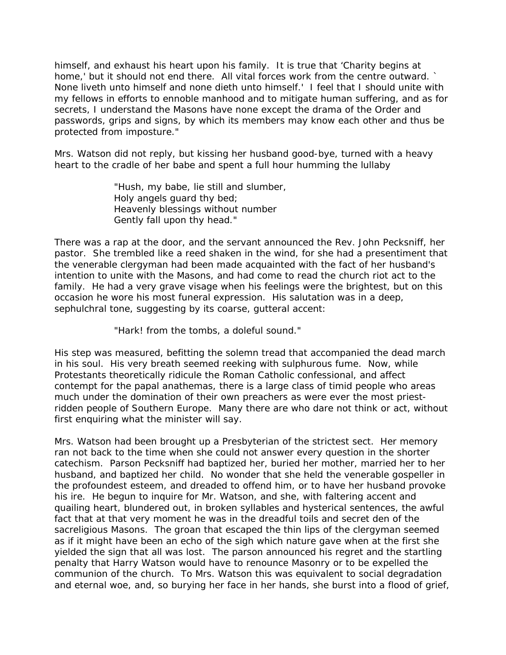himself, and exhaust his heart upon his family. It is true that 'Charity begins at home,' but it should not end there. All vital forces work from the centre outward. None liveth unto himself and none dieth unto himself.' I feel that I should unite with my fellows in efforts to ennoble manhood and to mitigate human suffering, and as for secrets, I understand the Masons have none except the drama of the Order and passwords, grips and signs, by which its members may know each other and thus be protected from imposture."

Mrs. Watson did not reply, but kissing her husband good-bye, turned with a heavy heart to the cradle of her babe and spent a full hour humming the lullaby

> "Hush, my babe, lie still and slumber, Holy angels guard thy bed; Heavenly blessings without number Gently fall upon thy head."

There was a rap at the door, and the servant announced the Rev. John Pecksniff, her pastor. She trembled like a reed shaken in the wind, for she had a presentiment that the venerable clergyman had been made acquainted with the fact of her husband's intention to unite with the Masons, and had come to read the church riot act to the family. He had a very grave visage when his feelings were the brightest, but on this occasion he wore his most funeral expression. His salutation was in a deep, sephulchral tone, suggesting by its coarse, gutteral accent:

"Hark! from the tombs, a doleful sound."

His step was measured, befitting the solemn tread that accompanied the dead march in his soul. His very breath seemed reeking with sulphurous fume. Now, while Protestants theoretically ridicule the Roman Catholic confessional, and affect contempt for the papal anathemas, there is a large class of timid people who areas much under the domination of their own preachers as were ever the most priestridden people of Southern Europe. Many there are who dare not think or act, without first enquiring what the minister will say.

Mrs. Watson had been brought up a Presbyterian of the strictest sect. Her memory ran not back to the time when she could not answer every question in the shorter catechism. Parson Pecksniff had baptized her, buried her mother, married her to her husband, and baptized her child. No wonder that she held the venerable gospeller in the profoundest esteem, and dreaded to offend him, or to have her husband provoke his ire. He begun to inquire for Mr. Watson, and she, with faltering accent and quailing heart, blundered out, in broken syllables and hysterical sentences, the awful fact that at that very moment he was in the dreadful toils and secret den of the sacreligious Masons. The groan that escaped the thin lips of the clergyman seemed as if it might have been an echo of the sigh which nature gave when at the first she yielded the sign that all was lost. The parson announced his regret and the startling penalty that Harry Watson would have to renounce Masonry or to be expelled the communion of the church. To Mrs. Watson this was equivalent to social degradation and eternal woe, and, so burying her face in her hands, she burst into a flood of grief,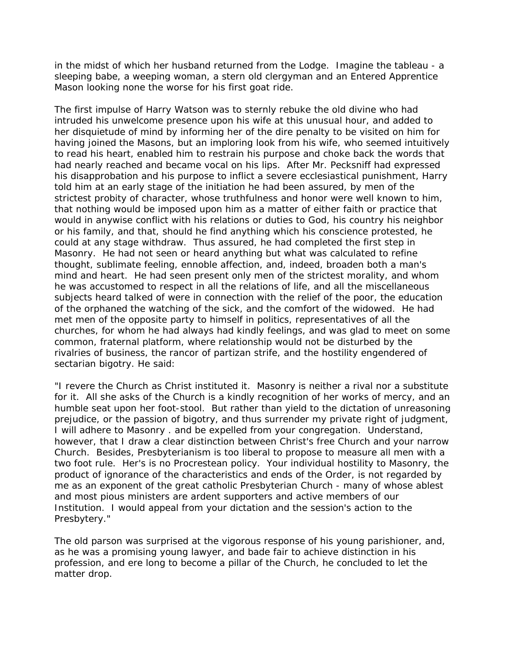in the midst of which her husband returned from the Lodge. Imagine the *tableau* - a sleeping babe, a weeping woman, a stern old clergyman and an Entered Apprentice Mason looking none the worse for his first goat ride.

The first impulse of Harry Watson was to sternly rebuke the old divine who had intruded his unwelcome presence upon his wife at this unusual hour, and added to her disquietude of mind by informing her of the dire penalty to be visited on him for having joined the Masons, but an imploring look from his wife, who seemed intuitively to read his heart, enabled him to restrain his purpose and choke back the words that had nearly reached and became vocal on his lips. After Mr. Pecksniff had expressed his disapprobation and his purpose to inflict a severe ecclesiastical punishment, Harry told him at an early stage of the initiation he had been assured, by men of the strictest probity of character, whose truthfulness and honor were well known to him, that nothing would be imposed upon him as a matter of either faith or practice that would in anywise conflict with his relations or duties to God, his country his neighbor or his family, and that, should he find anything which his conscience protested, he could at any stage withdraw. Thus assured, he had completed the first step in Masonry. He had not seen or heard anything but what was calculated to refine thought, sublimate feeling, ennoble affection, and, indeed, broaden both a man's mind and heart. He had seen present only men of the strictest morality, and whom he was accustomed to respect in all the relations of life, and all the miscellaneous subjects heard talked of were in connection with the relief of the poor, the education of the orphaned the watching of the sick, and the comfort of the widowed. He had met men of the opposite party to himself in politics, representatives of all the churches, for whom he had always had kindly feelings, and was glad to meet on some common, fraternal platform, where relationship would not be disturbed by the rivalries of business, the rancor of partizan strife, and the hostility engendered of sectarian bigotry. He said:

"I revere the Church as Christ instituted it. Masonry is neither a rival nor a substitute for it. All she asks of the Church is a kindly recognition of her works of mercy, and an humble seat upon her foot-stool. But rather than yield to the dictation of unreasoning prejudice, or the passion of bigotry, and thus surrender my private right of judgment, I will adhere to Masonry . and be expelled from your congregation. Understand, however, that I draw a clear distinction between Christ's free Church and *your* narrow Church. Besides, Presbyterianism is too liberal to propose to measure all men with a two foot rule. Her's is no Procrestean policy. Your individual hostility to Masonry, the product of ignorance of the characteristics and ends of the Order, is not regarded by me as an exponent of the great catholic Presbyterian Church - many of whose ablest and most pious ministers are ardent supporters and active members of our Institution. I would appeal from your dictation and the session's action to the Presbytery."

The old parson was surprised at the vigorous response of his young parishioner, and, as he was a promising young lawyer, and bade fair to achieve distinction in his profession, and ere long to become a pillar of the Church, he concluded to let the matter drop.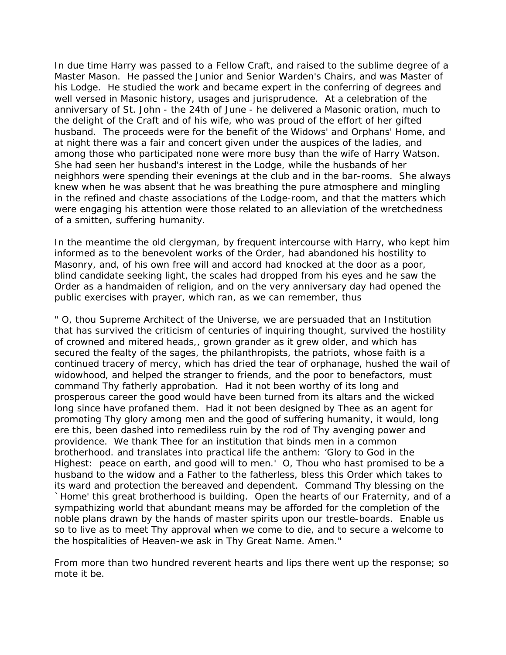In due time Harry was passed to a Fellow Craft, and raised to the sublime degree of a Master Mason. He passed the Junior and Senior Warden's Chairs, and was Master of his Lodge. He studied the work and became expert in the conferring of degrees and well versed in Masonic history, usages and jurisprudence. At a celebration of the anniversary of St. John - the 24th of June - he delivered a Masonic oration, much to the delight of the Craft and of his wife, who was proud of the effort of her gifted husband. The proceeds were for the benefit of the Widows' and Orphans' Home, and at night there was a fair and concert given under the auspices of the ladies, and among those who participated none were more busy than the wife of Harry Watson. She had seen her husband's interest in the Lodge, while the husbands of her neighhors were spending their evenings at the club and in the bar-rooms. She always knew when he was absent that he was breathing the pure atmosphere and mingling in the refined and chaste associations of the Lodge-room, and that the matters which were engaging his attention were those related to an alleviation of the wretchedness of a smitten, suffering humanity.

In the meantime the old clergyman, by frequent intercourse with Harry, who kept him informed as to the benevolent works of the Order, had abandoned his hostility to Masonry, and, of his own free will and accord had knocked at the door as a poor, blind candidate seeking light, the scales had dropped from his eyes and he saw the Order as a handmaiden of religion, and on the very anniversary day had opened the public exercises with prayer, which ran, as we can remember, thus

" O, thou Supreme Architect of the Universe, we are persuaded that an Institution that has survived the criticism of centuries of inquiring thought, survived the hostility of crowned and mitered heads,, grown grander as it grew older, and which has secured the fealty of the sages, the philanthropists, the patriots, whose faith is a continued tracery of mercy, which has dried the tear of orphanage, hushed the wail of widowhood, and helped the stranger to friends, and the poor to benefactors, must command Thy fatherly approbation. Had it not been worthy of its long and prosperous career the good would have been turned from its altars and the wicked long since have profaned them. Had it not been designed by Thee as an agent for promoting Thy glory among men and the good of suffering humanity, it would, long ere this, been dashed into remediless ruin by the rod of Thy avenging power and providence. We thank Thee for an institution that binds men in a common brotherhood. and translates into practical life the anthem: 'Glory to God in the Highest: peace on earth, and good will to men.' O, Thou who hast promised to be a husband to the widow and a Father to the fatherless, bless this Order which takes to its ward and protection the bereaved and dependent. Command Thy blessing on the `Home' this great brotherhood is building. Open the hearts of our Fraternity, and of a sympathizing world that abundant means may be afforded for the completion of the noble plans drawn by the hands of master spirits upon our trestle-boards. Enable us so to live as to meet Thy approval when we come to die, and to secure a welcome to the hospitalities of Heaven-we ask in Thy Great Name. Amen."

From more than two hundred reverent hearts and lips there went up the response; *so mote it be*.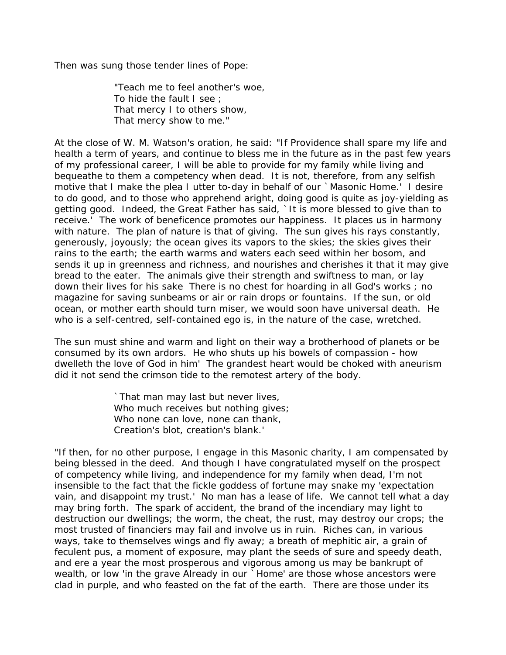Then was sung those tender lines of Pope:

"Teach me to feel another's woe, To hide the fault I see ; That mercy I to others show, That mercy show to me."

At the close of W. M. Watson's oration, he said: "If Providence shall spare my life and health a term of years, and continue to bless me in the future as in the past few years of my professional career, I will be able to provide for my family while living and bequeathe to them a competency when dead. It is not, therefore, from any selfish motive that I make the plea I utter to-day in behalf of our `Masonic Home.' I desire to *do* good, and to those who apprehend aright, *doing* good is quite as joy-yielding as *getting* good. Indeed, the Great Father has said, `It is more blessed to give than to receive.' The work of beneficence promotes our happiness. It places us in harmony with nature. The plan of nature is that of *giving*. The sun gives his rays constantly, generously, joyously; the ocean gives its vapors to the skies; the skies gives their rains to the earth; the earth warms and waters each seed within her bosom, and sends it up in greenness and richness, and nourishes and cherishes it that it may give bread to the eater. The animals give their strength and swiftness to man, or lay down their lives for his sake There is no chest for hoarding in all God's works ; no magazine for saving sunbeams or air or rain drops or fountains. If the sun, or old ocean, or mother earth should turn miser, we would soon have universal death. He who is a self-centred, self-contained ego is, in the nature of the case, wretched.

The sun must shine and warm and light on their way a brotherhood of planets or be consumed by its own ardors. He who shuts up his bowels of compassion - how dwelleth the love of God in him' The grandest heart would be choked with aneurism did it not send the crimson tide to the remotest artery of the body.

> `That man may last but never lives, Who much receives but nothing gives; Who none can love, none can thank, Creation's blot, creation's blank.'

"If then, for no other purpose, I engage in this Masonic charity, I am compensated by being blessed in the deed. And though I have congratulated myself on the prospect of competency while living, and independence for my family when dead, I'm not insensible to the fact that the fickle goddess of fortune may snake my 'expectation vain, and disappoint my trust.' No man has a lease of life. We cannot tell what a day may bring forth. The spark of accident, the brand of the incendiary may light to destruction our dwellings; the worm, the cheat, the rust, may destroy our crops; the most trusted of financiers may fail and involve us in ruin. Riches can, in various ways, take to themselves wings and fly away; a breath of mephitic air, a grain of feculent pus, a moment of exposure, may plant the seeds of sure and speedy death, and ere a year the most prosperous and vigorous among us may be bankrupt of wealth, or low 'in the grave Already in our `Home' are those whose ancestors were clad in purple, and who feasted on the fat of the earth. There are those under its